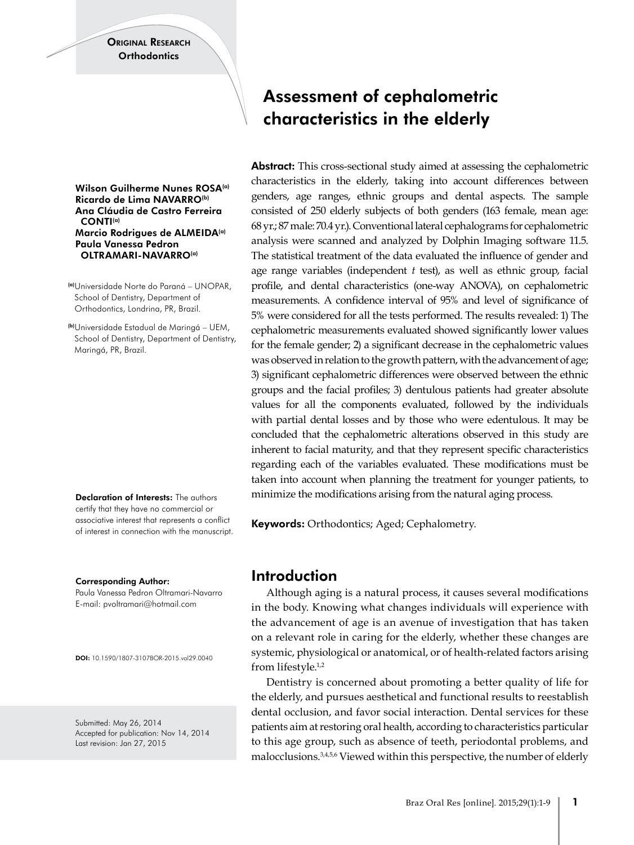ORIGINAL RESEARCH Orthodontics

Wilson Guilherme Nunes ROSA<sup>(a)</sup> Ricardo de Lima NAVARRO<sup>(b)</sup> Ana Cláudia de Castro Ferreira CONTI(a) Marcio Rodrigues de ALMEIDA(a) Paula Vanessa Pedron OLTRAMARI-NAVARRO<sup>(a)</sup>

(a)Universidade Norte do Paraná – UNOPAR, School of Dentistry, Department of Orthodontics, Londrina, PR, Brazil.

(b)Universidade Estadual de Maringá – UEM, School of Dentistry, Department of Dentistry, Maringá, PR, Brazil.

Declaration of Interests: The authors certify that they have no commercial or associative interest that represents a conflict of interest in connection with the manuscript.

Corresponding Author:

Paula Vanessa Pedron Oltramari-Navarro E-mail: pvoltramari@hotmail.com

DOI: 10.1590/1807-3107BOR-2015.vol29.0040

Submitted: May 26, 2014 Accepted for publication: Nov 14, 2014 Last revision: Jan 27, 2015

# Assessment of cephalometric characteristics in the elderly

Abstract: This cross-sectional study aimed at assessing the cephalometric characteristics in the elderly, taking into account differences between genders, age ranges, ethnic groups and dental aspects. The sample consisted of 250 elderly subjects of both genders (163 female, mean age: 68 yr.; 87 male: 70.4 yr.). Conventional lateral cephalograms for cephalometric analysis were scanned and analyzed by Dolphin Imaging software 11.5. The statistical treatment of the data evaluated the influence of gender and age range variables (independent *t* test), as well as ethnic group, facial profile, and dental characteristics (one‑way ANOVA), on cephalometric measurements. A confidence interval of 95% and level of significance of 5% were considered for all the tests performed. The results revealed: 1) The cephalometric measurements evaluated showed significantly lower values for the female gender; 2) a significant decrease in the cephalometric values was observed in relation to the growth pattern, with the advancement of age; 3) significant cephalometric differences were observed between the ethnic groups and the facial profiles; 3) dentulous patients had greater absolute values for all the components evaluated, followed by the individuals with partial dental losses and by those who were edentulous. It may be concluded that the cephalometric alterations observed in this study are inherent to facial maturity, and that they represent specific characteristics regarding each of the variables evaluated. These modifications must be taken into account when planning the treatment for younger patients, to minimize the modifications arising from the natural aging process.

Keywords: Orthodontics; Aged; Cephalometry.

## Introduction

Although aging is a natural process, it causes several modifications in the body. Knowing what changes individuals will experience with the advancement of age is an avenue of investigation that has taken on a relevant role in caring for the elderly, whether these changes are systemic, physiological or anatomical, or of health-related factors arising from lifestyle.1,2

Dentistry is concerned about promoting a better quality of life for the elderly, and pursues aesthetical and functional results to reestablish dental occlusion, and favor social interaction. Dental services for these patients aim at restoring oral health, according to characteristics particular to this age group, such as absence of teeth, periodontal problems, and malocclusions.<sup>3,4,5,6</sup> Viewed within this perspective, the number of elderly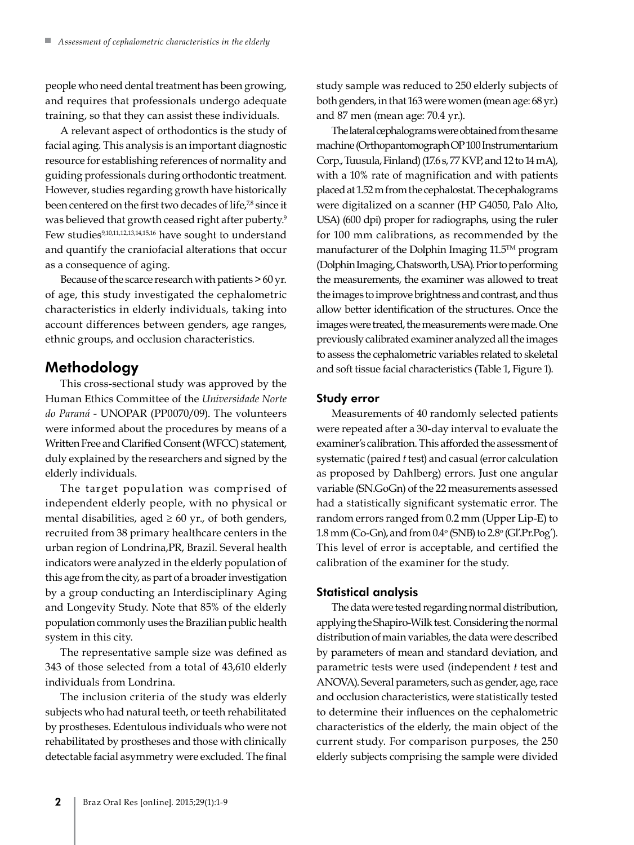people who need dental treatment has been growing, and requires that professionals undergo adequate training, so that they can assist these individuals.

A relevant aspect of orthodontics is the study of facial aging. This analysis is an important diagnostic resource for establishing references of normality and guiding professionals during orthodontic treatment. However, studies regarding growth have historically been centered on the first two decades of life,<sup>78</sup> since it was believed that growth ceased right after puberty.<sup>9</sup> Few studies<sup>9,10,11,12,13,14,15,16</sup> have sought to understand and quantify the craniofacial alterations that occur as a consequence of aging.

Because of the scarce research with patients > 60 yr. of age, this study investigated the cephalometric characteristics in elderly individuals, taking into account differences between genders, age ranges, ethnic groups, and occlusion characteristics.

# Methodology

This cross-sectional study was approved by the Human Ethics Committee of the *Universidade Norte do Paraná -* UNOPAR (PP0070/09). The volunteers were informed about the procedures by means of a Written Free and Clarified Consent (WFCC) statement, duly explained by the researchers and signed by the elderly individuals.

The target population was comprised of independent elderly people, with no physical or mental disabilities, aged  $\geq 60$  yr., of both genders, recruited from 38 primary healthcare centers in the urban region of Londrina,PR, Brazil. Several health indicators were analyzed in the elderly population of this age from the city, as part of a broader investigation by a group conducting an Interdisciplinary Aging and Longevity Study. Note that 85% of the elderly population commonly uses the Brazilian public health system in this city.

The representative sample size was defined as 343 of those selected from a total of 43,610 elderly individuals from Londrina.

The inclusion criteria of the study was elderly subjects who had natural teeth, or teeth rehabilitated by prostheses. Edentulous individuals who were not rehabilitated by prostheses and those with clinically detectable facial asymmetry were excluded. The final study sample was reduced to 250 elderly subjects of both genders, in that 163 were women (mean age: 68 yr.) and 87 men (mean age: 70.4 yr.).

The lateral cephalograms were obtained from the same machine (Orthopantomograph OP 100 Instrumentarium Corp., Tuusula, Finland) (17.6 s, 77 KVP, and 12 to 14 mA), with a 10% rate of magnification and with patients placed at 1.52 m from the cephalostat. The cephalograms were digitalized on a scanner (HP G4050, Palo Alto, USA) (600 dpi) proper for radiographs, using the ruler for 100 mm calibrations, as recommended by the manufacturer of the Dolphin Imaging 11.5™ program (Dolphin Imaging, Chatsworth, USA). Prior to performing the measurements, the examiner was allowed to treat the images to improve brightness and contrast, and thus allow better identification of the structures. Once the images were treated, the measurements were made. One previously calibrated examiner analyzed all the images to assess the cephalometric variables related to skeletal and soft tissue facial characteristics (Table 1, Figure 1).

#### Study error

Measurements of 40 randomly selected patients were repeated after a 30-day interval to evaluate the examiner's calibration. This afforded the assessment of systematic (paired *t* test) and casual (error calculation as proposed by Dahlberg) errors. Just one angular variable (SN.GoGn) of the 22 measurements assessed had a statistically significant systematic error. The random errors ranged from 0.2 mm (Upper Lip-E) to  $1.8$  mm (Co-Gn), and from  $0.4^{\circ}$  (SNB) to  $2.8^{\circ}$  (GI'.Pr.Pog'). This level of error is acceptable, and certified the calibration of the examiner for the study.

#### Statistical analysis

The data were tested regarding normal distribution, applying the Shapiro-Wilk test. Considering the normal distribution of main variables, the data were described by parameters of mean and standard deviation, and parametric tests were used (independent *t* test and ANOVA). Several parameters, such as gender, age, race and occlusion characteristics, were statistically tested to determine their influences on the cephalometric characteristics of the elderly, the main object of the current study. For comparison purposes, the 250 elderly subjects comprising the sample were divided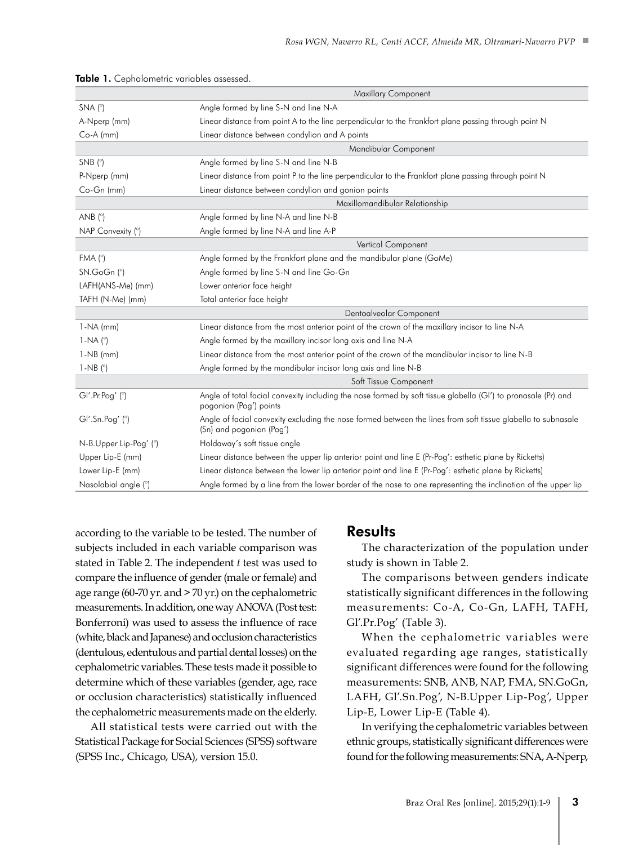|                              | Maxillary Component                                                                                                                      |
|------------------------------|------------------------------------------------------------------------------------------------------------------------------------------|
| $SNA(^{\circ})$              | Angle formed by line S-N and line N-A                                                                                                    |
| A-Nperp (mm)                 | Linear distance from point A to the line perpendicular to the Frankfort plane passing through point N                                    |
| $Co-A$ (mm)                  | Linear distance between condylion and A points                                                                                           |
|                              | Mandibular Component                                                                                                                     |
| $SNB$ ( $\degree$ )          | Angle formed by line S-N and line N-B                                                                                                    |
| P-Nperp (mm)                 | Linear distance from point P to the line perpendicular to the Frankfort plane passing through point N                                    |
| Co-Gn (mm)                   | Linear distance between condylion and gonion points                                                                                      |
|                              | Maxillomandibular Relationship                                                                                                           |
| AND (°)                      | Angle formed by line N-A and line N-B                                                                                                    |
| NAP Convexity (°)            | Angle formed by line N-A and line A-P                                                                                                    |
|                              | Vertical Component                                                                                                                       |
| FMA (°)                      | Angle formed by the Frankfort plane and the mandibular plane (GoMe)                                                                      |
| SN.GoGn (°)                  | Angle formed by line S-N and line Go-Gn                                                                                                  |
| LAFH(ANS-Me) (mm)            | Lower anterior face height                                                                                                               |
| TAFH (N-Me) (mm)             | Total anterior face height                                                                                                               |
|                              | Dentoalveolar Component                                                                                                                  |
| $1-NA$ (mm)                  | Linear distance from the most anterior point of the crown of the maxillary incisor to line N-A                                           |
| 1-NA $(^\circ)$              | Angle formed by the maxillary incisor long axis and line N-A                                                                             |
| $1-NB$ (mm)                  | Linear distance from the most anterior point of the crown of the mandibular incisor to line N-B                                          |
| $1-NB$ ( $^{\circ}$ )        | Angle formed by the mandibular incisor long axis and line N-B                                                                            |
|                              | Soft Tissue Component                                                                                                                    |
| $GI'.Pr.Pog'$ ( $^{\circ}$ ) | Angle of total facial convexity including the nose formed by soft tissue glabella (GI') to pronasale (Pr) and<br>pogonion (Pog') points  |
| $GI'.Sn.Pog'$ ( $\degree$ )  | Angle of facial convexity excluding the nose formed between the lines from soft tissue glabella to subnasale<br>(Sn) and pogonion (Pog') |
| N-B.Upper Lip-Pog' (°)       | Holdaway's soft tissue angle                                                                                                             |
| Upper Lip-E (mm)             | Linear distance between the upper lip anterior point and line E (Pr-Pog': esthetic plane by Ricketts)                                    |
| Lower Lip-E (mm)             | Linear distance between the lower lip anterior point and line E (Pr-Pog': esthetic plane by Ricketts)                                    |
| Nasolabial angle (°)         | Angle formed by a line from the lower border of the nose to one representing the inclination of the upper lip                            |

|  |  |  |  |  |  |  | Table 1. Cephalometric variables assessed. |  |
|--|--|--|--|--|--|--|--------------------------------------------|--|
|--|--|--|--|--|--|--|--------------------------------------------|--|

according to the variable to be tested. The number of subjects included in each variable comparison was stated in Table 2. The independent *t* test was used to compare the influence of gender (male or female) and age range (60-70 yr. and  $>$  70 yr.) on the cephalometric measurements. In addition, one way ANOVA (Post test: Bonferroni) was used to assess the influence of race (white, black and Japanese) and occlusion characteristics (dentulous, edentulous and partial dental losses) on the cephalometric variables. These tests made it possible to determine which of these variables (gender, age, race or occlusion characteristics) statistically influenced the cephalometric measurements made on the elderly.

All statistical tests were carried out with the Statistical Package for Social Sciences (SPSS) software (SPSS Inc., Chicago, USA), version 15.0.

### **Results**

The characterization of the population under study is shown in Table 2.

The comparisons between genders indicate statistically significant differences in the following measurements: Co-A, Co-Gn, LAFH, TAFH, Gl'.Pr.Pog' (Table 3).

When the cephalometric variables were evaluated regarding age ranges, statistically significant differences were found for the following measurements: SNB, ANB, NAP, FMA, SN.GoGn, LAFH, Gl'.Sn.Pog', N-B.Upper Lip-Pog', Upper Lip-E, Lower Lip-E (Table 4).

In verifying the cephalometric variables between ethnic groups, statistically significant differences were found for the following measurements: SNA, A-Nperp,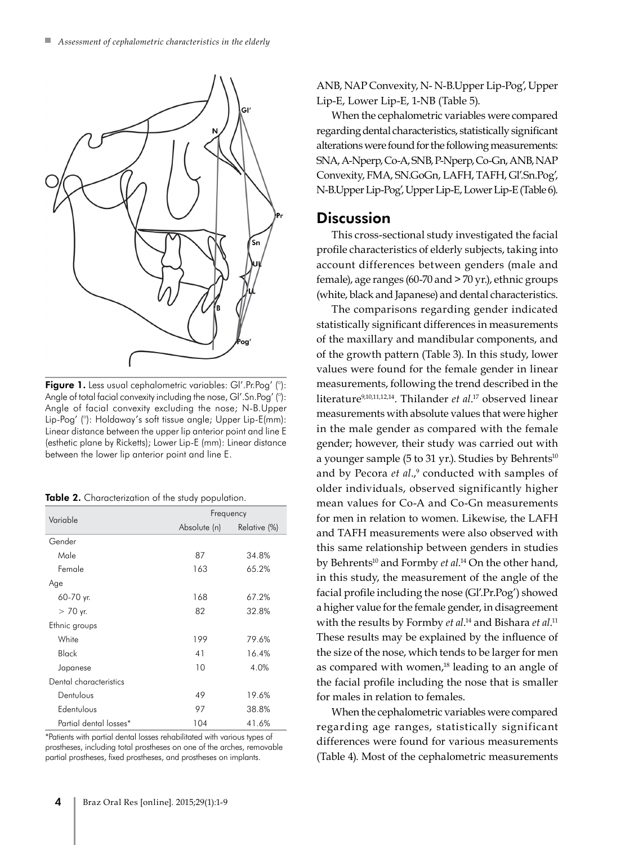

Figure 1. Less usual cephalometric variables: GI'.Pr.Pog' (°): Angle of total facial convexity including the nose, GI'.Sn.Pog' (°): Angle of facial convexity excluding the nose; N-B.Upper Lip-Pog' (°): Holdaway's soft tissue angle; Upper Lip-E(mm): Linear distance between the upper lip anterior point and line E (esthetic plane by Ricketts); Lower Lip-E (mm): Linear distance between the lower lip anterior point and line E.

| Table 2. Characterization of the study population. |  |  |
|----------------------------------------------------|--|--|
|----------------------------------------------------|--|--|

| Variable               | Frequency    |              |  |  |
|------------------------|--------------|--------------|--|--|
|                        | Absolute (n) | Relative (%) |  |  |
| Gender                 |              |              |  |  |
| Male                   | 87           | 34.8%        |  |  |
| Female                 | 163          | 65.2%        |  |  |
| Age                    |              |              |  |  |
| 60-70 yr.              | 168          | 67.2%        |  |  |
| $> 70$ yr.             | 82           | 32.8%        |  |  |
| Ethnic groups          |              |              |  |  |
| White                  | 199          | 79.6%        |  |  |
| Black                  | 41           | 16.4%        |  |  |
| Japanese               | 10           | 4.0%         |  |  |
| Dental characteristics |              |              |  |  |
| Dentulous              | 49           | 19.6%        |  |  |
| Edentulous             | 97           | 38.8%        |  |  |
| Partial dental losses* | 104          | 41.6%        |  |  |

\*Patients with partial dental losses rehabilitated with various types of prostheses, including total prostheses on one of the arches, removable partial prostheses, fixed prostheses, and prostheses on implants.

ANB, NAP Convexity, N- N-B.Upper Lip-Pog', Upper Lip-E, Lower Lip-E, 1-NB (Table 5).

When the cephalometric variables were compared regarding dental characteristics, statistically significant alterations were found for the following measurements: SNA, A-Nperp, Co-A, SNB, P-Nperp, Co-Gn, ANB, NAP Convexity, FMA, SN.GoGn, LAFH, TAFH, Gl'.Sn.Pog', N-B.Upper Lip-Pog', Upper Lip-E, Lower Lip-E (Table 6).

### **Discussion**

This cross-sectional study investigated the facial profile characteristics of elderly subjects, taking into account differences between genders (male and female), age ranges (60-70 and > 70 yr.), ethnic groups (white, black and Japanese) and dental characteristics.

The comparisons regarding gender indicated statistically significant differences in measurements of the maxillary and mandibular components, and of the growth pattern (Table 3). In this study, lower values were found for the female gender in linear measurements, following the trend described in the literature9,10,11,12,14. Thilander *et al*. 17 observed linear measurements with absolute values that were higher in the male gender as compared with the female gender; however, their study was carried out with a younger sample (5 to 31 yr.). Studies by Behrents<sup>10</sup> and by Pecora *et al.*,<sup>9</sup> conducted with samples of older individuals, observed significantly higher mean values for Co-A and Co-Gn measurements for men in relation to women. Likewise, the LAFH and TAFH measurements were also observed with this same relationship between genders in studies by Behrents<sup>10</sup> and Formby *et al*.<sup>14</sup> On the other hand, in this study, the measurement of the angle of the facial profile including the nose (Gl'.Pr.Pog') showed a higher value for the female gender, in disagreement with the results by Formby *et al*.<sup>14</sup> and Bishara *et al*.<sup>11</sup> These results may be explained by the influence of the size of the nose, which tends to be larger for men as compared with women,<sup>18</sup> leading to an angle of the facial profile including the nose that is smaller for males in relation to females.

When the cephalometric variables were compared regarding age ranges, statistically significant differences were found for various measurements (Table 4). Most of the cephalometric measurements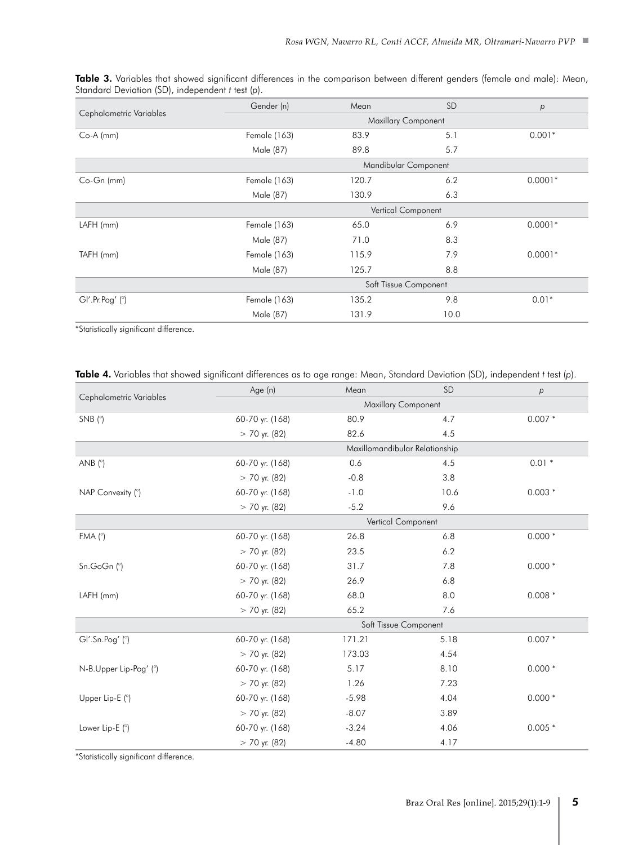|                         | Gender (n)                 | Mean  | <b>SD</b>            | p         |  |  |  |
|-------------------------|----------------------------|-------|----------------------|-----------|--|--|--|
| Cephalometric Variables | <b>Maxillary Component</b> |       |                      |           |  |  |  |
| $Co-A$ (mm)             | Female (163)               | 83.9  | 5.1                  | $0.001*$  |  |  |  |
|                         | Male (87)                  | 89.8  | 5.7                  |           |  |  |  |
|                         |                            |       | Mandibular Component |           |  |  |  |
| Co-Gn (mm)              | Female (163)               | 120.7 | 6.2                  | $0.0001*$ |  |  |  |
|                         | Male (87)                  | 130.9 | 6.3                  |           |  |  |  |
|                         |                            |       | Vertical Component   |           |  |  |  |
| $LAFH$ (mm)             | Female (163)               | 65.0  | 6.9                  | $0.0001*$ |  |  |  |
|                         | Male (87)                  | 71.0  | 8.3                  |           |  |  |  |
| TAFH (mm)               | Female (163)               | 115.9 | 7.9                  | $0.0001*$ |  |  |  |
|                         | Male (87)                  | 125.7 | 8.8                  |           |  |  |  |
|                         | Soft Tissue Component      |       |                      |           |  |  |  |
| GI'.Pr.Pog' (°)         | Female (163)               | 135.2 | 9.8                  | $0.01*$   |  |  |  |
|                         | Male (87)                  | 131.9 | 10.0                 |           |  |  |  |

Table 3. Variables that showed significant differences in the comparison between different genders (female and male): Mean, Standard Deviation (SD), independent *t* test (*p*).

\*Statistically significant difference.

|  |  |  |  | <b>Table 4.</b> Variables that showed significant differences as to age range: Mean, Standard Deviation (SD), independent t test (p). |  |  |
|--|--|--|--|---------------------------------------------------------------------------------------------------------------------------------------|--|--|
|--|--|--|--|---------------------------------------------------------------------------------------------------------------------------------------|--|--|

| Cephalometric Variables | Age (n)         | Mean                           | SD   | p        |
|-------------------------|-----------------|--------------------------------|------|----------|
|                         |                 | <b>Maxillary Component</b>     |      |          |
| $SNB$ ( $^{\circ}$ )    | 60-70 yr. (168) | 80.9                           | 4.7  | $0.007*$ |
|                         | $> 70$ yr. (82) | 82.6                           | 4.5  |          |
|                         |                 | Maxillomandibular Relationship |      |          |
| ANB $(^{\circ})$        | 60-70 yr. (168) | 0.6                            | 4.5  | $0.01*$  |
|                         | $> 70$ yr. (82) | $-0.8$                         | 3.8  |          |
| NAP Convexity (°)       | 60-70 yr. (168) | $-1.0$                         | 10.6 | $0.003*$ |
|                         | $> 70$ yr. (82) | $-5.2$                         | 9.6  |          |
|                         |                 | Vertical Component             |      |          |
| FMA (°)                 | 60-70 yr. (168) | 26.8                           | 6.8  | $0.000*$ |
|                         | $> 70$ yr. (82) | 23.5                           | 6.2  |          |
| Sn.GoGn (°)             | 60-70 yr. (168) | 31.7                           | 7.8  | $0.000*$ |
|                         | $> 70$ yr. (82) | 26.9                           | 6.8  |          |
| LAFH (mm)               | 60-70 yr. (168) | 68.0                           | 8.0  | $0.008*$ |
|                         | $> 70$ yr. (82) | 65.2                           | 7.6  |          |
|                         |                 | Soft Tissue Component          |      |          |
| GI'.Sn.Pog'(')          | 60-70 yr. (168) | 171.21                         | 5.18 | $0.007*$ |
|                         | $> 70$ yr. (82) | 173.03                         | 4.54 |          |
| N-B.Upper Lip-Pog' (°)  | 60-70 yr. (168) | 5.17                           | 8.10 | $0.000*$ |
|                         | $> 70$ yr. (82) | 1.26                           | 7.23 |          |
| Upper Lip-E (°)         | 60-70 yr. (168) | $-5.98$                        | 4.04 | $0.000*$ |
|                         | $> 70$ yr. (82) | $-8.07$                        | 3.89 |          |
| Lower Lip-E (°)         | 60-70 yr. (168) | $-3.24$                        | 4.06 | $0.005*$ |
|                         | $> 70$ yr. (82) | $-4.80$                        | 4.17 |          |

\*Statistically significant difference.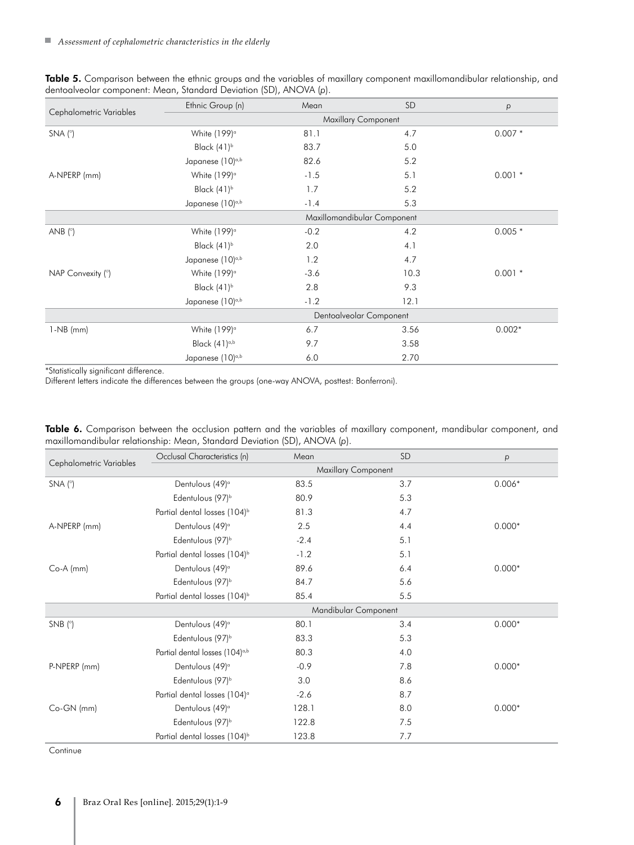| Table 5. Comparison between the ethnic groups and the variables of maxillary component maxillomandibular relationship, and |  |  |  |
|----------------------------------------------------------------------------------------------------------------------------|--|--|--|
| dentoalveolar component: Mean, Standard Deviation (SD), ANOVA (p).                                                         |  |  |  |

|                         | Ethnic Group (n)             | Mean   | <b>SD</b>                   | p         |  |  |
|-------------------------|------------------------------|--------|-----------------------------|-----------|--|--|
| Cephalometric Variables | Maxillary Component          |        |                             |           |  |  |
| $SNA(^{\circ})$         | White $(199)^\circ$          | 81.1   | 4.7                         | $0.007*$  |  |  |
|                         | Black $(41)^b$               | 83.7   | 5.0                         |           |  |  |
|                         | Japanese (10) <sup>a,b</sup> | 82.6   | 5.2                         |           |  |  |
| A-NPERP (mm)            | White $(199)^\circ$          | $-1.5$ | 5.1                         | $0.001$ * |  |  |
|                         | Black $(41)^b$               | 1.7    | 5.2                         |           |  |  |
|                         | Japanese (10) <sup>a,b</sup> | $-1.4$ | 5.3                         |           |  |  |
|                         |                              |        | Maxillomandibular Component |           |  |  |
| ANB $(^{\circ})$        | White $(199)^\circ$          | $-0.2$ | 4.2                         | $0.005*$  |  |  |
|                         | Black $(41)^b$               | 2.0    | 4.1                         |           |  |  |
|                         | Japanese (10) <sup>a,b</sup> | 1.2    | 4.7                         |           |  |  |
| NAP Convexity (°)       | White (199) <sup>o</sup>     | $-3.6$ | 10.3                        | $0.001$ * |  |  |
|                         | Black $(41)^b$               | 2.8    | 9.3                         |           |  |  |
|                         | Japanese (10) <sup>a,b</sup> | $-1.2$ | 12.1                        |           |  |  |
|                         |                              |        | Dentoalveolar Component     |           |  |  |
| $1-NB$ (mm)             | White $(199)^\circ$          | 6.7    | 3.56                        | $0.002*$  |  |  |
|                         | Black $(41)^{a,b}$           | 9.7    | 3.58                        |           |  |  |
|                         | Japanese (10) <sup>a,b</sup> | 6.0    | 2.70                        |           |  |  |

\*Statistically significant difference.

Different letters indicate the differences between the groups (one-way ANOVA, posttest: Bonferroni).

| Cephalometric Variables | Occlusal Characteristics (n)               | Mean   | <b>SD</b>            | p        |  |  |
|-------------------------|--------------------------------------------|--------|----------------------|----------|--|--|
|                         | <b>Maxillary Component</b>                 |        |                      |          |  |  |
| $SNA(^{\circ})$         | Dentulous (49) <sup>a</sup>                | 83.5   | 3.7                  | $0.006*$ |  |  |
|                         | Edentulous (97) <sup>b</sup>               | 80.9   | 5.3                  |          |  |  |
|                         | Partial dental losses (104) <sup>b</sup>   | 81.3   | 4.7                  |          |  |  |
| A-NPERP (mm)            | Dentulous (49) <sup>a</sup>                | 2.5    | 4.4                  | $0.000*$ |  |  |
|                         | Edentulous (97) <sup>b</sup>               | $-2.4$ | 5.1                  |          |  |  |
|                         | Partial dental losses (104) <sup>b</sup>   | $-1.2$ | 5.1                  |          |  |  |
| $Co-A$ (mm)             | Dentulous (49) <sup>a</sup>                | 89.6   | 6.4                  | $0.000*$ |  |  |
|                         | Edentulous (97) <sup>b</sup>               | 84.7   | 5.6                  |          |  |  |
|                         | Partial dental losses (104) <sup>b</sup>   | 85.4   | 5.5                  |          |  |  |
|                         |                                            |        | Mandibular Component |          |  |  |
| $SNB$ ( $\degree$ )     | Dentulous (49) <sup>a</sup>                | 80.1   | 3.4                  | $0.000*$ |  |  |
|                         | Edentulous (97) <sup>b</sup>               | 83.3   | 5.3                  |          |  |  |
|                         | Partial dental losses (104) <sup>a,b</sup> | 80.3   | 4.0                  |          |  |  |
| P-NPERP (mm)            | Dentulous (49) <sup>a</sup>                | $-0.9$ | 7.8                  | $0.000*$ |  |  |
|                         | Edentulous (97) <sup>b</sup>               | 3.0    | 8.6                  |          |  |  |
|                         | Partial dental losses (104) <sup>a</sup>   | $-2.6$ | 8.7                  |          |  |  |
| $Co-GN$ (mm)            | Dentulous (49) <sup>a</sup>                | 128.1  | 8.0                  | $0.000*$ |  |  |
|                         | Edentulous (97) <sup>b</sup>               | 122.8  | 7.5                  |          |  |  |
|                         | Partial dental losses (104) <sup>b</sup>   | 123.8  | 7.7                  |          |  |  |

Table 6. Comparison between the occlusion pattern and the variables of maxillary component, mandibular component, and maxillomandibular relationship: Mean, Standard Deviation (SD), ANOVA (*p*).

**Continue**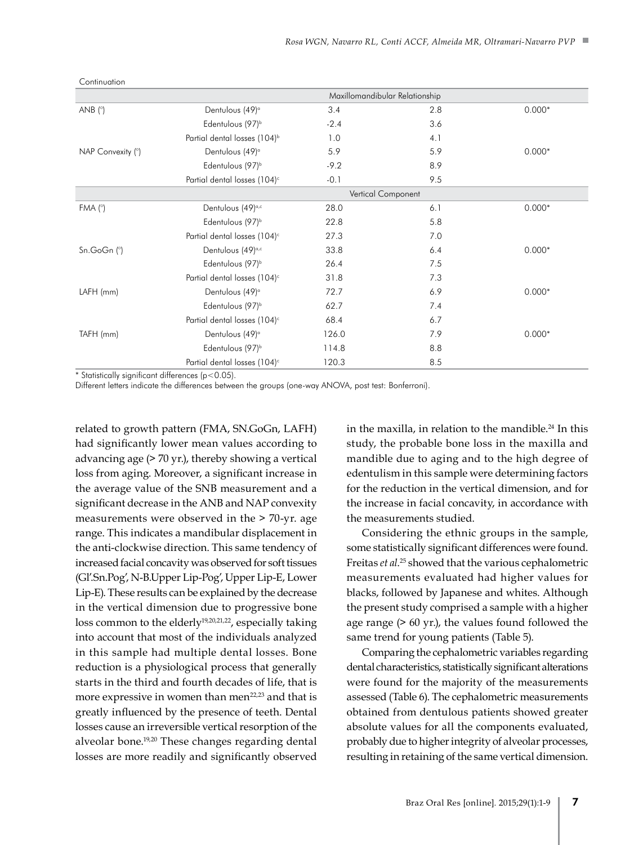|                   |                                          |        | Maxillomandibular Relationship |          |
|-------------------|------------------------------------------|--------|--------------------------------|----------|
| ANB $(^{\circ})$  | Dentulous (49) <sup>a</sup>              | 3.4    | 2.8                            | $0.000*$ |
|                   | Edentulous (97) <sup>b</sup>             | $-2.4$ | 3.6                            |          |
|                   | Partial dental losses (104) <sup>b</sup> | 1.0    | 4.1                            |          |
| NAP Convexity (°) | Dentulous (49) <sup>a</sup>              | 5.9    | 5.9                            | $0.000*$ |
|                   | Edentulous (97) <sup>b</sup>             | $-9.2$ | 8.9                            |          |
|                   | Partial dental losses (104) <sup>c</sup> | $-0.1$ | 9.5                            |          |
|                   |                                          |        | Vertical Component             |          |
| FMA (°)           | Dentulous (49) <sup>a,c</sup>            | 28.0   | 6.1                            | $0.000*$ |
|                   | Edentulous (97) <sup>b</sup>             | 22.8   | 5.8                            |          |
|                   | Partial dental losses (104) <sup>c</sup> | 27.3   | 7.0                            |          |
| Sn.GoGn (°)       | Dentulous (49) <sup>a,c</sup>            | 33.8   | 6.4                            | $0.000*$ |
|                   | Edentulous (97) <sup>b</sup>             | 26.4   | 7.5                            |          |
|                   | Partial dental losses (104) <sup>c</sup> | 31.8   | 7.3                            |          |
| $LAFH$ (mm)       | Dentulous (49) <sup>a</sup>              | 72.7   | 6.9                            | $0.000*$ |
|                   | Edentulous (97) <sup>b</sup>             | 62.7   | 7.4                            |          |
|                   | Partial dental losses (104) <sup>c</sup> | 68.4   | 6.7                            |          |
| TAFH (mm)         | Dentulous (49) <sup>a</sup>              | 126.0  | 7.9                            | $0.000*$ |
|                   | Edentulous (97) <sup>b</sup>             | 114.8  | 8.8                            |          |
|                   | Partial dental losses (104) <sup>c</sup> | 120.3  | 8.5                            |          |

**Continuation** 

\* Statistically significant differences (p<0.05).

Different letters indicate the differences between the groups (one-way ANOVA, post test: Bonferroni).

related to growth pattern (FMA, SN.GoGn, LAFH) had significantly lower mean values according to advancing age (> 70 yr.), thereby showing a vertical loss from aging. Moreover, a significant increase in the average value of the SNB measurement and a significant decrease in the ANB and NAP convexity measurements were observed in the > 70-yr. age range. This indicates a mandibular displacement in the anti-clockwise direction. This same tendency of increased facial concavity was observed for soft tissues (Gl'.Sn.Pog', N-B.Upper Lip-Pog', Upper Lip-E, Lower Lip-E). These results can be explained by the decrease in the vertical dimension due to progressive bone loss common to the elderly<sup>19,20,21,22</sup>, especially taking into account that most of the individuals analyzed in this sample had multiple dental losses. Bone reduction is a physiological process that generally starts in the third and fourth decades of life, that is more expressive in women than men<sup>22,23</sup> and that is greatly influenced by the presence of teeth. Dental losses cause an irreversible vertical resorption of the alveolar bone.19,20 These changes regarding dental losses are more readily and significantly observed

in the maxilla, in relation to the mandible. $^{24}$  In this study, the probable bone loss in the maxilla and mandible due to aging and to the high degree of edentulism in this sample were determining factors for the reduction in the vertical dimension, and for the increase in facial concavity, in accordance with the measurements studied.

Considering the ethnic groups in the sample, some statistically significant differences were found. Freitas *et al*. 25 showed that the various cephalometric measurements evaluated had higher values for blacks, followed by Japanese and whites. Although the present study comprised a sample with a higher age range (> 60 yr.), the values found followed the same trend for young patients (Table 5).

Comparing the cephalometric variables regarding dental characteristics, statistically significant alterations were found for the majority of the measurements assessed (Table 6). The cephalometric measurements obtained from dentulous patients showed greater absolute values for all the components evaluated, probably due to higher integrity of alveolar processes, resulting in retaining of the same vertical dimension.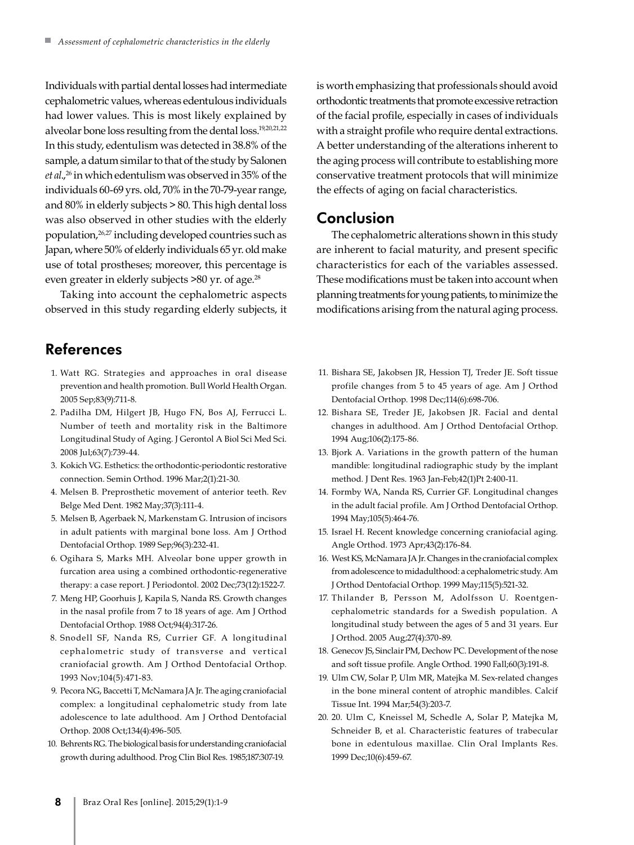Individuals with partial dental losses had intermediate cephalometric values, whereas edentulous individuals had lower values. This is most likely explained by alveolar bone loss resulting from the dental loss.19,20,21,22 In this study, edentulism was detected in 38.8% of the sample, a datum similar to that of the study by Salonen *et al.*,<sup>26</sup> in which edentulism was observed in 35% of the individuals 60-69 yrs. old, 70% in the 70-79‑year range, and 80% in elderly subjects > 80. This high dental loss was also observed in other studies with the elderly population,26,27 including developed countries such as Japan, where 50% of elderly individuals 65 yr. old make use of total prostheses; moreover, this percentage is even greater in elderly subjects >80 yr. of age.<sup>28</sup>

Taking into account the cephalometric aspects observed in this study regarding elderly subjects, it

# References

- 1. Watt RG. Strategies and approaches in oral disease prevention and health promotion. Bull World Health Organ. 2005 Sep;83(9):711-8.
- 2. Padilha DM, Hilgert JB, Hugo FN, Bos AJ, Ferrucci L. Number of teeth and mortality risk in the Baltimore Longitudinal Study of Aging. J Gerontol A Biol Sci Med Sci. 2008 Jul;63(7):739-44.
- 3. Kokich VG. Esthetics: the orthodontic-periodontic restorative connection. Semin Orthod. 1996 Mar;2(1):21-30.
- 4. Melsen B. Preprosthetic movement of anterior teeth. Rev Belge Med Dent. 1982 May;37(3):111-4.
- 5. Melsen B, Agerbaek N, Markenstam G. Intrusion of incisors in adult patients with marginal bone loss. Am J Orthod Dentofacial Orthop. 1989 Sep;96(3):232-41.
- 6. Ogihara S, Marks MH. Alveolar bone upper growth in furcation area using a combined orthodontic-regenerative therapy: a case report. J Periodontol. 2002 Dec;73(12):1522-7.
- 7. Meng HP, Goorhuis J, Kapila S, Nanda RS. Growth changes in the nasal profile from 7 to 18 years of age. Am J Orthod Dentofacial Orthop. 1988 Oct;94(4):317-26.
- 8. Snodell SF, Nanda RS, Currier GF. A longitudinal cephalometric study of transverse and vertical craniofacial growth. Am J Orthod Dentofacial Orthop. 1993 Nov;104(5):471-83.
- 9. Pecora NG, Baccetti T, McNamara JA Jr. The aging craniofacial complex: a longitudinal cephalometric study from late adolescence to late adulthood. Am J Orthod Dentofacial Orthop. 2008 Oct;134(4):496-505.
- 10. Behrents RG. The biological basis for understanding craniofacial growth during adulthood. Prog Clin Biol Res. 1985;187:307-19.

is worth emphasizing that professionals should avoid orthodontic treatments that promote excessive retraction of the facial profile, especially in cases of individuals with a straight profile who require dental extractions. A better understanding of the alterations inherent to the aging process will contribute to establishing more conservative treatment protocols that will minimize the effects of aging on facial characteristics.

# Conclusion

The cephalometric alterations shown in this study are inherent to facial maturity, and present specific characteristics for each of the variables assessed. These modifications must be taken into account when planning treatments for young patients, to minimize the modifications arising from the natural aging process.

- 11. Bishara SE, Jakobsen JR, Hession TJ, Treder JE. Soft tissue profile changes from 5 to 45 years of age. Am J Orthod Dentofacial Orthop. 1998 Dec;114(6):698-706.
- 12. Bishara SE, Treder JE, Jakobsen JR. Facial and dental changes in adulthood. Am J Orthod Dentofacial Orthop. 1994 Aug;106(2):175-86.
- 13. Bjork A. Variations in the growth pattern of the human mandible: longitudinal radiographic study by the implant method. J Dent Res. 1963 Jan-Feb;42(1)Pt 2:400-11.
- 14. Formby WA, Nanda RS, Currier GF. Longitudinal changes in the adult facial profile. Am J Orthod Dentofacial Orthop. 1994 May;105(5):464-76.
- 15. Israel H. Recent knowledge concerning craniofacial aging. Angle Orthod. 1973 Apr;43(2):176-84.
- 16. West KS, McNamara JA Jr. Changes in the craniofacial complex from adolescence to midadulthood: a cephalometric study. Am J Orthod Dentofacial Orthop. 1999 May;115(5):521-32.
- 17. Thilander B, Persson M, Adolfsson U. Roentgencephalometric standards for a Swedish population. A longitudinal study between the ages of 5 and 31 years. Eur J Orthod. 2005 Aug;27(4):370-89.
- 18. Genecov JS, Sinclair PM, Dechow PC. Development of the nose and soft tissue profile. Angle Orthod. 1990 Fall;60(3):191-8.
- 19. Ulm CW, Solar P, Ulm MR, Matejka M. Sex-related changes in the bone mineral content of atrophic mandibles. Calcif Tissue Int. 1994 Mar;54(3):203-7.
- 20. 20. Ulm C, Kneissel M, Schedle A, Solar P, Matejka M, Schneider B, et al. Characteristic features of trabecular bone in edentulous maxillae. Clin Oral Implants Res. 1999 Dec;10(6):459-67.